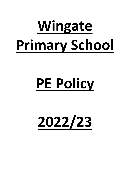# **Wingate Primary School**

# **PE Policy**

**2022/23**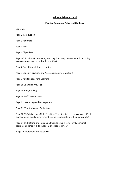# **Wingate Primary School**

# **Physical Education Policy and Guidance**

**Contents** 

Page 3 Introduction

Page 3 Rationale

Page 4 Aims

Page 4 Objectives

Page 4-6 Provision (curriculum, teaching & learning, assessment & recording, assessing progress, recording & reporting)

Page 7 Out of School Hours Learning

Page 8 Equality, Diversity and Accessibility (differentiation)

Page 9 Adults Supporting Learning

Page 10 Changing Provision

Page 10 Safeguarding

Page 10 Staff Development

Page 11 Leadership and Management

Page 11 Monitoring and Evaluation

Page 12-13 Safety Issues (Safe Teaching, Teaching Safely, risk assessment/risk management, pupils' involvement in, and responsible for, their own safety)

Page 14-16 Clothing and Personal Effects (clothing, jewellery & personal adornment, sensory aids, indoor & outdoor footwear)

Page 17 Equipment and resources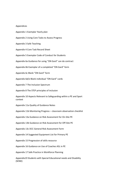### Appendices

Appendix 1 Exemplar Yearly plan Appendix 2 Using Core Tasks to Assess Progress Appendix 3 Safe Teaching Appendix 4 Core Task Record Sheet Appendix 5 Exemplar Code of Conduct for Students Appendix 6a Guidance for using "ON Gard" can do contract Appendix 6b Exemplar of a completed "ON Gard" form Appendix 6c Blank "ON Gard" form Appendix 6d/e Blank individual "ON Gard" cards Appendix 7 The Inclusion Spectrum Appendix 8 The STEP principles of inclusion Appendix 10 Aspects Relevant to Safeguarding within a PE and Sport context Appendix 11a Quality of Guidance Notes Appendix 11b Monitoring Progress – classroom observation checklist Appendix 13a Guidance on Risk Assessment for On-Site PE Appendix 13b Guidance on Risk Assessment for Off-Site PE Appendix 13c DCC General Risk Assessment Form Appendix 14 Suggested Equipment List for Primary PE Appendix 15 Progression of skills resource Appendix 16 Guidance on Use of Coaches ASL in PE Appendix 17 Safe Practice in Workforce Planning Appendix19 Students with Special Educational needs and Disability (SEND)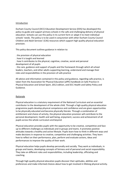### Introduction

Durham County Council (DCC) Education Development Service (EDS) has developed this policy to guide and support primary schools in the safe and challenging delivery of physical education. Schools can use this policy in its current form or adapt it to meet individual schools' needs. The policy is to be used in conjunction with other Durham County Council Children and Adult Services' (CAS) resources which support high quality physical education provision.

This policy document outlines guidance in relation to:

. the provision of physical education

. how it is taught and learned

. how it contributes to the physical, cognitive, creative, social and personal development of all pupils

. the care, guidance and support of pupils and the framework through which all school leaders, teachers, and other adults supporting learning, understand and manage their roles and responsibilities in the provision of safe practice

All advice and information contained in this policy and guidance, regarding safe practice, is taken from the Association for Physical Education (afPE) handbook on Safe Practice in Physical Education and School Sport, 2012 edition, and DCC Health and Safety Policy and Guidance.

### **Rationale**

Physical education is a statutory requirement of the National Curriculum and an essential contributor to the development of the whole child. Through a high quality physical education programme pupils develop physical competence and confidence and are given opportunities to be physically educated and become physically literate. Through a combination of entitlement and choice of activity, the physical education provision will contribute to the personal development, health and well being, enjoyment, success and achievement of all pupils across the whole curriculum and beyond.

Physical education provides pupils with the opportunity to be creative, competitive and face up to different challenges as individuals and in groups and teams. It promotes positive attitudes towards a healthy and active lifestyle. Pupils learn how to think in different ways and make decisions in response to creative, competitive and challenging activities. They learn how to reflect on their performance, plan, perform and evaluate actions, ideas and performances to improve the quality of their work.

Physical education helps pupils develop personally and socially. They work as individuals, in groups and teams, developing concepts of fairness and of personal and social responsibility. They take on different roles and responsibilities, including leadership, officiating and coaching.

Through high quality physical education pupils discover their aptitudes, abilities and preferences and make informed choices about how to get involved in lifelong physical activity.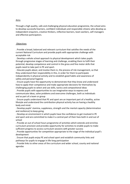### Aims

Through a high quality, safe and challenging physical education programme, the school aims to develop successful learners, confident individuals and responsible citizens who develop as independent enquirers, creative thinkers, reflective learners, team workers, self-managers and effective participators.

### **Objectives**

. Provide a broad, balanced and relevant curriculum that satisfies the needs of the current National Curriculum and provide pupils with appropriate challenge with acceptable risk

. Develop a whole school approach to physical development which takes pupils through progressive stages of learning and challenge, enabling them to fulfil their potential, develop competence and control in the gross and fine motor skills that pupils need to take part in PE and sport.

. Educate pupils about, and involve them in, the process of risk management, so that they understand their responsibility in this, in order for them to participate independently in physical activity and to establish good habits and awareness of safety and personal hygiene

. Ensure pupils have the opportunity to demonstrate that they know and understand how to apply their competence and make appropriate decisions for themselves by challenging pupils to select and use skills, tactics and compositional ideas

. Provide pupils with opportunities to use imaginative ways to express and communicate ideas, solve problems and overcome challenges, both as individuals and as part of a team or group

. Ensure pupils understand that PE and sport are an important part of a healthy, active lifestyle and understand the contribution physical activity has on having a healthy body and mind.

. Develop pupils' stamina, suppleness, strength and the mental capacity (determination and resilience) to keep going.

. Develop an environment in which pupils have the confidence to get involved in PE and sport and are committed to make it a central part of their lives both in and out of school

. Provide an out of school hours programme of activities which extends and enriches curriculum provision and provides opportunity for activities to enable pupils to make sufficient progress to access curriculum sessions with greater success

. Provide opportunities for competition appropriate to the stage of the individual pupil's development

. Ensure that pupils enjoy PE and school sport and establish community links and pathways for pupils to engage in life-long participation

. Provide links to other areas of the curriculum and wider school, county and national agendas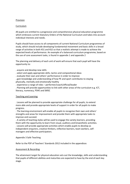# **Provision**

# **Curriculum**

All pupils are entitled to a progressive and comprehensive physical education programme which embraces current Statutory Orders of the National Curriculum and takes into account individual interests and needs.

Pupils should have access to all components of current National Curriculum programmes of study, which should include developing fundamental movement and basic skills in a broad range of activities in both KS1 and KS2 so that a realistic attempt is made to achieve the expected levels of performance. An example of a balanced curriculum programme, based on the use of core assessment tasks, is found in appendix 1 and appendix 2

The planning and delivery of each unit of work will ensure that each pupil will have the opportunity to:

- . acquire and develop new skills
- . select and apply appropriate skills, tactics and compositional ideas
- . evaluate their own and others' performance in order to improve

. gain knowledge and understanding of how PE and sport contributes to staying physically, mentally and emotionally healthy

. experience a range of roles – performer/coach/official/leader

. Planning will provide opportunities to link with other areas of the curriculum e.g. ICT, literacy, numeracy, PSHE and SMSC

## Teaching and Learning

. Lessons will be planned to provide appropriate challenge for all pupils, to extend more able and provide appropriate levels of support in order for all pupils to make progress.

. The learning environment will enable all pupils to recognise their own and others' strengths and areas for improvement and provide them with appropriate tasks to improve and succeed.

. A variety of teaching styles will be used to engage the variety learners, providing them with the opportunity to learn from visual, auditory and kinaesthetic activities. . Lessons will provide appropriate activities which enable pupils to develop as independent enquirers, creative thinkers, reflective learners, team workers, selfmanagers and effective participators.

Appendix 3 Safe Teaching

Refer to the PDF of Teachers' Standards 2012 included in the appendices

## Assessment & Recording

The attainment target for physical education sets out the knowledge, skills and understanding that pupils of different abilities and maturities are expected to have by the end of each key stage.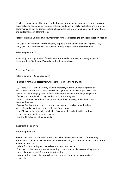Teachers should ensure that when evaluating and improving performance, connections are made between acquiring, developing, selecting and applying skills, evaluating and improving performance as well as demonstrating a knowledge and understanding of health and fitness and performance in different roles

Refer to National Curriculum documentation for details relating to physical education strands

The expected attainment for the majority of pupils at the end of each phase (EYFS, KS1, LKS2, UKS2) is summarised in the Durham County Progression of Skills resource.

Refer to appendix 15

In deciding on a pupil's level of attainment at the end of a phase, teachers judge which descriptor best fits the pupil's readiness for the next phase.

## Assessing Progress

Refer to appendix 2 and appendix 4

To assist in formative assessment, teachers could use the following:

. QCA core tasks, Durham County assessment tasks, Durham County Progression of Skills sheets and Durham County assessment pyramids to involve pupils in self and peer assessment, helping them understand where they are at the beginning of a unit of work, and identify what they need to do to make progress.

. Watch children work, talk to them about what they are doing and listen to them describe their work.

. Receive feedback from pupils to inform teachers and pupils of what has been successful and allow them to set their own future targets.

. Use ICT to develop portfolios of children's work in physical education to show progression and quality of performance.

. Use the 10 outcomes of high quality

## Recording & Reporting

Refer to appendix 4

Records are selective and brief and teachers should have a clear reason for recording information. Significant achievements or weaknesses may be noted on an evaluation of the lesson and used to:

. Inform future planning for themselves or a new class teacher

. Form part of the statutory annual reporting process, and in discussions with parents

. Help children as a basis for future target setting

. Inform during transfer between classes and key stages to ensure continuity of progression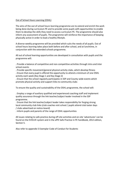# Out of School Hours Learning (OSHL)

The aims of the out of school hours learning programme are to extend and enrich the work being done during curriculum PE and to provide some pupils with opportunities to enable them to develop the skills they need to access curriculum PE. The programme should also inform any assessment of pupils. The programme will reinforce the importance of keeping physically active in order to lead a healthy lifestyle.

A diverse weekly programme will be provided which suits the needs of all pupils. Out of school hours learning takes place both before and after school, and at lunchtime, in conjunction with the extended schools programme.

All out of school learning opportunities are developed in consultation with pupils and the programme will:

. Provide a balance of competitive and non-competitive activities through intra and inter school events

. Provide specific movement/general physical activity clubs, which develop fitness

. Ensure that every pupil is offered the opportunity to attend a minimum of one OSHL activity each week (Key Stage 1 and Key Stage 2)

. Ensure that the school regularly participates in SSP and County-wide events which promote physical activity and support links to community clubs

To ensure the quality and sustainability of the OSHL programme, the school will:

. Employ a range of auxiliary qualified and experienced coaching staff and implement quality assurance through the link teacher/subject leader involved in the SSP programme.

. Ensure that the link teacher/subject leader takes responsibility for forging strong local community club links (club coaches visit school / pupils attend club taster days / clubs advertised on notice-board)

. Inform pupils and parents of the range of OSHL opportunities

All issues relating to safe practice during off-site activities and on-site 'adventures' can be found on the EVOLVE system and in the afPE Safe Practice in PE handbook, 2012 edition, Section 5.

Also refer to appendix 5 Exemplar Code of Conduct for Students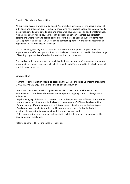# Equality, Diversity and Accessibility

All pupils can access a broad and balanced PE curriculum, which meets the specific needs of individuals and groups of pupils, including those who have diverse special educational needs, disabilities, gifted and talented pupils and those who have English as an additional language. A 'can do contract' will be devised through discussion between teachers, support staff, parents and where relevant, specialist medical staff (Refer to appendix 19 - Students with SEND, appendix 6a, 6b, 6c - 'On Gard' can do contract, appendix 7- Inclusion Spectrum and appendix 8 - STEP principles for inclusion

Lesson planning, delivery and assessment tries to ensure that pupils are provided with appropriate and effective opportunities to actively participate and succeed in the whole range of learning opportunities offered within and outside the curriculum.

The needs of individuals are met by providing dedicated support staff, a range of equipment, appropriate groupings, safe spaces in which to work and differentiated tasks which enable all pupils to make progress

# Differentiation

Planning for differentiation should be based on the S.T.E.P. principles i.e. making changes to SPACE, TASK/TIME, EQUIPMENT and PEOPLE taking account of:

. The size of the area in which a pupil works, smaller spaces until pupils develop spatial awareness and control over themselves and equipment, larger spaces to challenge more able pupils

. Pupil activity, e.g. different task, different roles and responsibilities, different allocations of time and variations of pace within the lesson to meet needs of different levels of ability.

. Resources, e.g. different equipment for different levels of ability across the key stages.

. Pupil groupings, e.g. ability or mixed ability groups; or group, paired or individual

activities, the opportunity to work with adult support where needed

. Other opportunities, e.g. extracurricular activities, club links and interest groups, for the development of excellence.

Refer to appendix 8 STEP principles for inclusion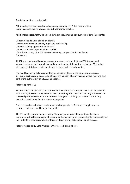# Adults Supporting Learning (ASL)

ASL include classroom assistants, teaching assistants, HLTA, learning mentors, visiting coaches, sports apprentices but not trainee teachers

Additional support staff will be used during curriculum and non curriculum time in order to:

. Support the delivery of high quality PE

. Enrich or enhance an activity pupils are undertaking

. Provide training opportunities for staff

. Provide additional opportunities for OSHL

. Contribute to any LA or SSP developments e.g. support the School Games Framework

All ASL and coaches will receive appropriate access to School, LA and SSP training and support to ensure their knowledge and understanding of delivering curriculum PE is in line with current statutory requirements and recommended good practice.

The head teacher will always maintain responsibility for safe recruitment procedures, disclosure certification, possession of a governing body of sport licence, where relevant, and confirming authenticity of all ASL and coaches

## Refer to appendix 16

Head teachers are advised to accept a Level 2 award as the normal baseline qualification for each activity the coach is expected to teach, diverting from this standard only if the coach is observed prior to acceptance and demonstrates good coaching qualities and is working towards a Level 2 qualification where appropriate

The class teacher will always maintain overall responsibility for what is taught and the conduct, health and well being of the pupils.

No ASL should operate independently. They may work alone if competence has been monitored but will be managed effectively by the teacher, who remains legally responsible for the students in their care, whether through direct or indirect supervision of the ASL.

Refer to Appendix 17 Safe Practice in Workforce Planning Poster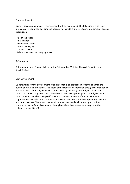# Changing Provision

Dignity, decency and privacy, where needed, will be maintained. The following will be taken into consideration when deciding the necessity of constant direct, intermittent direct or distant supervision:

- . Age of the pupils
- . Joint gender
- . Behavioural issues
- . Potential bullying
- . Location of staff
- . Safety aspects of the changing space

## **Safeguarding**

Refer to appendix 10: Aspects Relevant to Safeguarding Within a Physical Education and Sport Context

## Staff Development

Opportunities for the development of all staff should be provided in order to enhance the quality of PE within the school. The needs of the staff will be identified through the monitoring and evaluation of the subject which is undertaken by the designated Subject Leader and should be done in conjunction with the whole school development plan. The Subject Leader should ensure that all teaching staff, ASLs and coaches are aware of the development opportunities available from the Education Development Service, School Sports Partnerships and other partners. The subject leader will ensure that any development opportunities undertaken by staff are disseminated throughout the school where necessary to further enhance the quality of PE.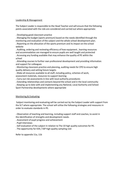# Leadership & Management

The Subject Leader is responsible to the Head Teacher and will ensure that the following points associated with the role are considered and carried out where appropriate:

. Developing good classroom practice

. Managing the budget (sports premium) based on the needs identified through the monitoring and evaluation of the subject and the whole school development plan.

. Reporting on the allocation of the sports premium and its impact on the school website

. Auditing, ordering and reviewing efficiency of how equipment , learning resources and accommodation are managed to ensure pupils are well taught and protected . Accessing any funding available that may enhance the quality of PE within the

school

. Attending courses to further own professional development and providing information and support for colleagues

. Monitoring classroom practice and planning, auditing needs for CPD to ensure high quality delivery and setting future targets

. Make all resources available to all staff, including policy, schemes of work, assessment materials, resources to support learning

. Carry out risk assessments in line with local authority procedures

. Extending relationships and contacts beyond the school and in the local community

. Keeping up to date with and implementing any National, Local Authority and School

Sport Partnership developments where appropriate

# Monitoring & Evaluating

Subject monitoring and evaluating will be carried out by the Subject Leader with support from the SLT where appropriate. The school will utilise the following strategies and measures in order to evaluate standards in PE.

. Observation of teaching and learning, including support staff and coaches, to assist in the identification of strengths and development needs.

. Assessment of pupil progress and achievement

. Pupil interviews

. Self evaluation of the subject in relation to The 10 high quality outcomes for PE.

. The opportunity for EDS / SSP high quality sampling visit

Refer to appendix 11a, 11b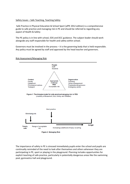# Safety Issues – Safe Teaching, Teaching Safety

Safe Practice in Physical Education & School Sport (afPE 2012 edition) is a comprehensive guide to safe practice and managing risk in PE and should be referred to regarding any aspect of Health & Safety

The PE policy is in line with school, EDS and DCC guidance. The subject leader should work alongside any staff responsible for health and safety within school.

Governors must be involved in the process – it is the governing body that is held responsible. Any policy must be agreed by staff and approved by the head teacher and governors.

### Risk Assessment/Managing Risk



The importance of safety in PE is stressed immediately pupils enter the school and pupils are continually reminded of the need to look after themselves and others whenever they are participating in PE, sport or playing in the playground. Planning includes opportunities for explicit teaching of safe practice, particularly in potentially dangerous areas like the swimming pool, gymnastics hall and playground.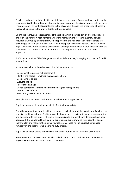Teachers and pupils help to identify possible hazards in lessons. Teachers discuss with pupils how much risk the hazard is and what can be done to reduce the risk so nobody gets harmed. This process of risk control is reinforced in the classroom through the production of posters that can be pinned to the wall to highlight these dangers.

During the thorough risk assessment of the school which is carried out on a termly basis (in line with the statutory requirements under the management of Health & Safety at work regulations 1992), significant risks will be reported to the head teacher. Also teachers are encouraged to carry out informal risk assessments prior to every PE lesson. This will involve a quick overview of the teaching environment and equipment which is then matched with the planned lesson content to assess whether it is safe to proceed or use an alternative approach.

A PDF poster entitled "The Triangular Model for Safe practice/Managing Risk" can be found in appendices

In summary, schools should consider the following process:

- . Decide what requires a risk assessment
- . Identify the hazard anything that can cause harm
- . Decide who is at risk
- . Evaluate the risk
- . Record the findings
- . Devise control measures to minimise the risk (risk management)
- . Inform those affected
- . Periodically review the assessment

Example risk assessments and prompts can be found in appendix 13

Pupils' involvement in, and responsibility for, their own safety

From the youngest age, pupils will be encouraged to look around them and identify what they perceive could harm them. Continuously, the teacher needs to identify general considerations and question with the pupils, whether a situation is safe and what considerations have been addressed. The pupils will have learning experiences, appropriate to their age, that enable them to plan and manage their own activities safely. These will, of course, be managed remotely by the teacher who maintains duty of care.

Pupils will be made aware that chewing and eating during an activity is not acceptable.

Refer to Section 4 in Association for Physical Education (afPE) handbook on Safe Practice in Physical Education and School Sport, 2012 edition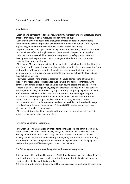### Clothing & Personal Effects – (afPE recommendations)

### **Introduction**

. Clothing and correct attire for a particular activity represent important features of safe practice that apply in equal measures to both staff and pupils.

. Staff should always endeavour to change for physical education, wear suitable footwear and clothing for practical activities and remove their personal effects, such as jewellery, to minimise the likelihood of causing or receiving injury.

. Pupils from the earliest ages should change into suitable clothing for PE so that they can participate safely. Although vests and pants were in the past, an acceptable option for the youngest children, contemporary views on safeguarding, personal development and hygiene mean this is no longer advisable practice. In addition, changing is an important life skill.

. Clothing for PE and school sport should be well suited to its function. It should be light and allow good freedom of movement, but will also need to offer some insulation from cold weather in the winter months. It should be remembered that pupils who are insufficiently warm and experiencing discomfort will not be sufficiently focused and may lack concentration.

. Footwear that is fit for purpose is essential. It should demonstrate effective grip, support and reasonable protection for outside work and games, contrasting with lightness and flimsiness for indoor activities such as gymnastics and dance, if worn.

. Personal effects, such as jewellery, religious artefacts, watches, hair slides, sensory aids etc, should always be removed by pupils before participating in physical activity. Staff also need to be mindful of their own adornments. The wearing of rings for instance, has been responsible for unnecessary injury in the past and represents a hazard to both staff and pupils involved in the lesson. Any exception to the recommendation of complete removal needs to be carefully considered and always comply with a suitable risk assessment. Children MUST remove earrings or cover with plasters if unable to be removed.

. Clear expectations should be established throughout the school and with parents, about the management of personal effects.

### Jewellery and personal adornment

. The wearing of non essential personal effects continues to pose difficulties in many schools since such items should ideally, always be removed in establishing as safe working environment. Staff have a duty of care to ensure that pupils are able to actively participate without unnecessarily endangering themselves or those working around them. Systems and procedures need to be in place within the changing area to check that pupils fulfil this obligation prior to participation.

The following procedure should be applied at the start of every lesson:

1. All personal effects should be removed. Staff should always give a verbal reminder to pupils and, where necessary, visually monitor the group. Particular vigilance may be required when dealing with body jewellery.

2. If they cannot be removed, e.g. medical bracelets/necklaces, staff need to take action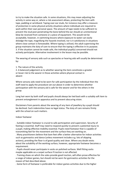to try to make the situation safe. In some situations, this may mean adjusting the activity in some way or, where a risk assessment allows, protecting the item with tape, padding or wristband. Taping over ear studs, for instance may offer a measure of protection in some physical activity situations where individuals are required to work within their own personal space. The amount of tape needs to be sufficient to prevent the stud post penetrating the bone behind the ear should an unintentional blow be received from someone or a piece of equipment. This would not be acceptable, however, in swimming lessons where exposure to water can easily dislodge the tape, magnifying the hazards involved, nor is it satisfactory in situations where close contact is foreseeable. Where taping is utilised, the adult supervising the group maintains the duty of care to ensure that the taping is effective in its purpose. 3. If the situation cannot be made safe, the individual pupil(s) concerned should not actively participate. Alternative involvement in the lesson may be possible.

The wearing of sensory aids such as spectacles or hearing aids will usually be determined by:

### 1. The nature of the activity

2. A balanced judgement as to whether wearing the item constitutes a greater or lesser risk to the wearer in those activities where physical contact is absent

Where sensory aids need to be worn for safe participation by the individual then the staff need to apply the procedure set out above in order to determine whether participation with the sensory aid is safe for the wearer and for the others in the group.

Long hair worn by both staff and pupils should always be tied back with a suitably soft item to prevent entanglement in apparatus and to prevent obscuring vision.

Disclaimers from parents about the wearing of any item of jewellery by a pupil should be declined. Such indemnities have no legal status. The duty of care remains firmly with the school on such matters.

### Indoor footwear

. Suitable indoor footwear is crucial to safe participation and supervision. Security of footing is essential. Staff may need to respond quickly to prevent a potential injury to a pupil, making effective mobility essential. Pupils need footwear that is capable of transmitting feel for the movement and the surface they are working on.

. Many practitioners believe that bare feet offer a better alternative for indoor activities such as gymnastics and dance (unless movement includes e.g. lots of skipping actions), providing the floor is of good quality and clean. Where any doubt exists about the suitability of the working surface, however, appropriate footwear becomes a requirement.

. Pupils should never participate in socks on polished surfaces. Well fitting socks maybe applicable on a carpet surface if traction is not affected.

. Training shoes on which the soles provide good traction, will often prove effective for a range of indoor games, but should not be worn for gymnastics activities for the reason of feel described above.

. Some form of footwear is preferable for indoor games activities due to the higher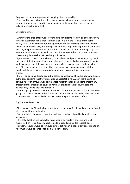frequency of sudden stopping and changing direction quickly.

. Staff need to avoid situations often found in games lessons when organising wet weather indoor activity in which some pupils wear training shoes and others are obliged to resort to bare feet.

# Outdoor footwear

. Whatever the type of footwear worn to give participants stability on outdoor playing surfaces, systematic maintenance is essential. Rule 4 in the FA laws of the game clearly states: A player must not use equipment or wear anything which is dangerous to himself or another player. Although this reference applies to appropriate conduct in football, the principle embodied in this rule is universal. Security of footing is again an essential requirement, along with consideration as to whether the outdoor footwear presents any foreseeable risk to other participants.

. Systems need to be in place whereby staff, officials and participants regularly check the safety of the footwear. Procedures also need to be applied whereby participants avoid, wherever possible, walking over hard surfaces to gain access to the playing area. This can result in studs and other traction devices becoming unacceptably rough and sharp, proving hazardous to opponents in competitive games and practices.

. There is an ongoing debate about the safety, or otherwise of bladed boots, with some authorities deciding that they present an unacceptable risk. As yet there exists no conclusive proof, through well documented research that bladed boots present any greater risk than traditional studded versions, providing that adequate care and attention is given to their maintenance.

. Where a group presents a variety of footwear for outdoor lessons, the adult with the group has to determine whether the lesson can proceed as planned or whether some conditions need to be applied to enable maximum participation in safety.

Pupils should know that:

. Clothing used for PE and school sport should be suitable for the activity and designed with safe participation in mind

. Personal items of physical education and sports clothing should be kept clean and serviceable

. Physical education and sports footwear should be regularly checked and well maintained, this is particularly applicable to studded and bladed football boots . Jewellery should always be removed before active participation; any exception to this rule must always be sanctioned by a member of staff.